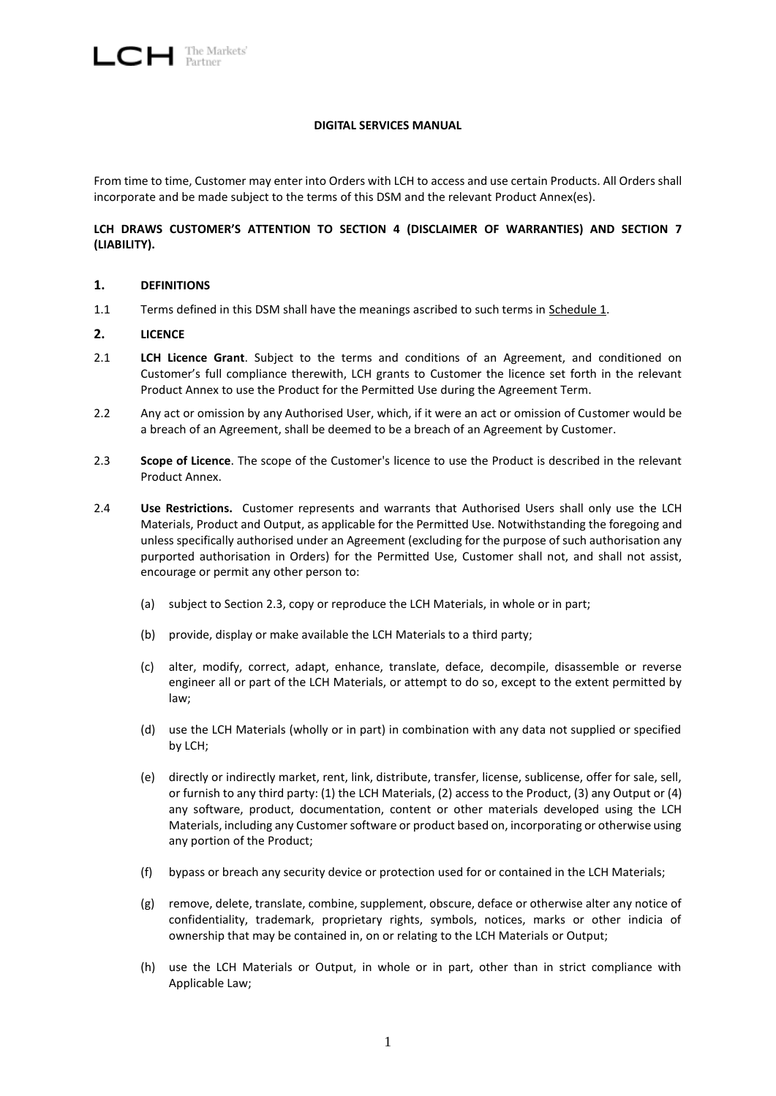## **DIGITAL SERVICES MANUAL**

From time to time, Customer may enter into Orders with LCH to access and use certain Products. All Orders shall incorporate and be made subject to the terms of this DSM and the relevant Product Annex(es).

## **LCH DRAWS CUSTOMER'S ATTENTION TO SECTION [4](#page-2-0) (DISCLAIMER OF WARRANTIES) AND SECTION [7](#page-4-0) (LIABILITY).**

## <span id="page-0-2"></span>**1. DEFINITIONS**

1.1 Terms defined in this DSM shall have the meanings ascribed to such terms in Schedule 1.

## **2. LICENCE**

- <span id="page-0-1"></span>2.1 **LCH Licence Grant**. Subject to the terms and conditions of an Agreement, and conditioned on Customer's full compliance therewith, LCH grants to Customer the licence set forth in the relevant Product Annex to use the Product for the Permitted Use during the Agreement Term.
- 2.2 Any act or omission by any Authorised User, which, if it were an act or omission of Customer would be a breach of an Agreement, shall be deemed to be a breach of an Agreement by Customer.
- <span id="page-0-0"></span>2.3 **Scope of Licence**. The scope of the Customer's licence to use the Product is described in the relevant Product Annex.
- 2.4 **Use Restrictions.** Customer represents and warrants that Authorised Users shall only use the LCH Materials, Product and Output, as applicable for the Permitted Use. Notwithstanding the foregoing and unless specifically authorised under an Agreement (excluding for the purpose of such authorisation any purported authorisation in Orders) for the Permitted Use, Customer shall not, and shall not assist, encourage or permit any other person to:
	- (a) subject to Section [2.3,](#page-0-0) copy or reproduce the LCH Materials, in whole or in part;
	- (b) provide, display or make available the LCH Materials to a third party;
	- (c) alter, modify, correct, adapt, enhance, translate, deface, decompile, disassemble or reverse engineer all or part of the LCH Materials, or attempt to do so, except to the extent permitted by law;
	- (d) use the LCH Materials (wholly or in part) in combination with any data not supplied or specified by LCH;
	- (e) directly or indirectly market, rent, link, distribute, transfer, license, sublicense, offer for sale, sell, or furnish to any third party: (1) the LCH Materials, (2) access to the Product, (3) any Output or (4) any software, product, documentation, content or other materials developed using the LCH Materials, including any Customer software or product based on, incorporating or otherwise using any portion of the Product;
	- (f) bypass or breach any security device or protection used for or contained in the LCH Materials;
	- (g) remove, delete, translate, combine, supplement, obscure, deface or otherwise alter any notice of confidentiality, trademark, proprietary rights, symbols, notices, marks or other indicia of ownership that may be contained in, on or relating to the LCH Materials or Output;
	- (h) use the LCH Materials or Output, in whole or in part, other than in strict compliance with Applicable Law;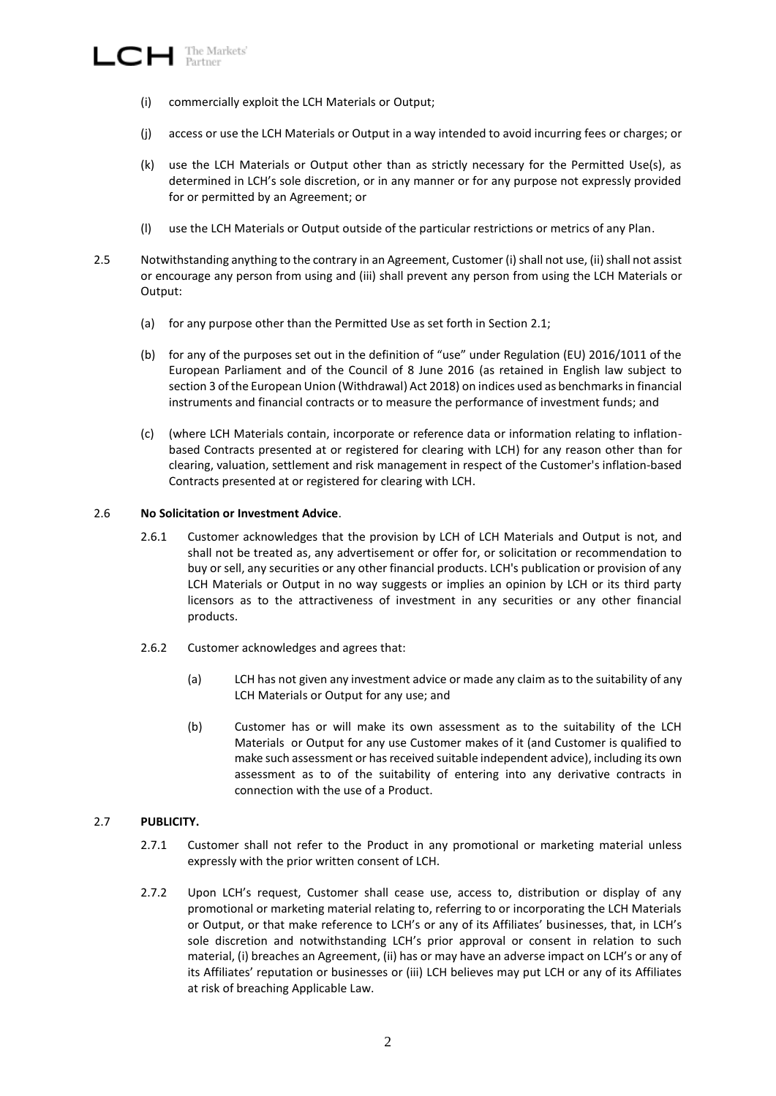- (i) commercially exploit the LCH Materials or Output;
- (j) access or use the LCH Materials or Output in a way intended to avoid incurring fees or charges; or
- (k) use the LCH Materials or Output other than as strictly necessary for the Permitted Use(s), as determined in LCH's sole discretion, or in any manner or for any purpose not expressly provided for or permitted by an Agreement; or
- (l) use the LCH Materials or Output outside of the particular restrictions or metrics of any Plan.
- 2.5 Notwithstanding anything to the contrary in an Agreement, Customer (i) shall not use, (ii) shall not assist or encourage any person from using and (iii) shall prevent any person from using the LCH Materials or Output:
	- (a) for any purpose other than the Permitted Use as set forth in Section [2.1;](#page-0-1)
	- (b) for any of the purposes set out in the definition of "use" under Regulation (EU) 2016/1011 of the European Parliament and of the Council of 8 June 2016 (as retained in English law subject to section 3 of the European Union (Withdrawal) Act 2018) on indices used as benchmarks in financial instruments and financial contracts or to measure the performance of investment funds; and
	- (c) (where LCH Materials contain, incorporate or reference data or information relating to inflationbased Contracts presented at or registered for clearing with LCH) for any reason other than for clearing, valuation, settlement and risk management in respect of the Customer's inflation-based Contracts presented at or registered for clearing with LCH.

#### 2.6 **No Solicitation or Investment Advice**.

- 2.6.1 Customer acknowledges that the provision by LCH of LCH Materials and Output is not, and shall not be treated as, any advertisement or offer for, or solicitation or recommendation to buy or sell, any securities or any other financial products. LCH's publication or provision of any LCH Materials or Output in no way suggests or implies an opinion by LCH or its third party licensors as to the attractiveness of investment in any securities or any other financial products.
- 2.6.2 Customer acknowledges and agrees that:
	- (a) LCH has not given any investment advice or made any claim as to the suitability of any LCH Materials or Output for any use; and
	- (b) Customer has or will make its own assessment as to the suitability of the LCH Materials or Output for any use Customer makes of it (and Customer is qualified to make such assessment or has received suitable independent advice), including its own assessment as to of the suitability of entering into any derivative contracts in connection with the use of a Product.

## 2.7 **PUBLICITY.**

- 2.7.1 Customer shall not refer to the Product in any promotional or marketing material unless expressly with the prior written consent of LCH.
- 2.7.2 Upon LCH's request, Customer shall cease use, access to, distribution or display of any promotional or marketing material relating to, referring to or incorporating the LCH Materials or Output, or that make reference to LCH's or any of its Affiliates' businesses, that, in LCH's sole discretion and notwithstanding LCH's prior approval or consent in relation to such material, (i) breaches an Agreement, (ii) has or may have an adverse impact on LCH's or any of its Affiliates' reputation or businesses or (iii) LCH believes may put LCH or any of its Affiliates at risk of breaching Applicable Law.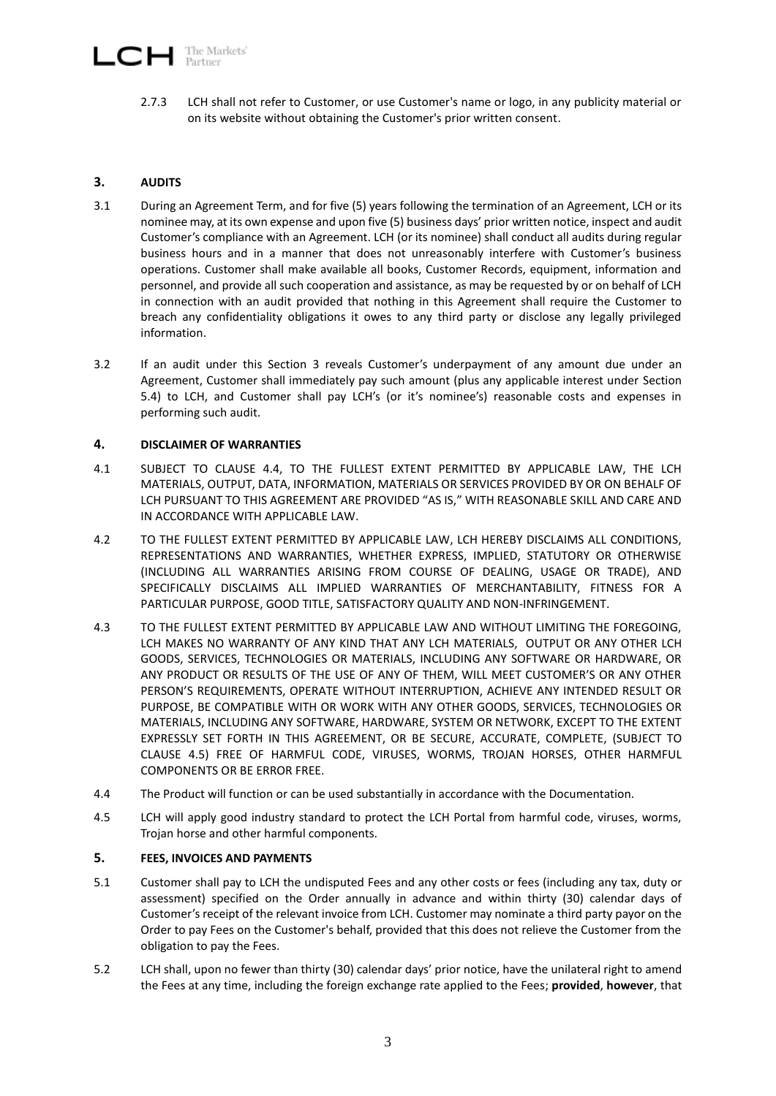# The Markets'<br>Partner **CH**

2.7.3 LCH shall not refer to Customer, or use Customer's name or logo, in any publicity material or on its website without obtaining the Customer's prior written consent.

# <span id="page-2-1"></span>**3. AUDITS**

- 3.1 During an Agreement Term, and for five (5) years following the termination of an Agreement, LCH or its nominee may, at its own expense and upon five (5) business days' prior written notice, inspect and audit Customer's compliance with an Agreement. LCH (or its nominee) shall conduct all audits during regular business hours and in a manner that does not unreasonably interfere with Customer's business operations. Customer shall make available all books, Customer Records, equipment, information and personnel, and provide all such cooperation and assistance, as may be requested by or on behalf of LCH in connection with an audit provided that nothing in this Agreement shall require the Customer to breach any confidentiality obligations it owes to any third party or disclose any legally privileged information.
- 3.2 If an audit under this Section [3](#page-2-1) reveals Customer's underpayment of any amount due under an Agreement, Customer shall immediately pay such amount (plus any applicable interest under Section [5.4\)](#page-3-0) to LCH, and Customer shall pay LCH's (or it's nominee's) reasonable costs and expenses in performing such audit.

## <span id="page-2-0"></span>**4. DISCLAIMER OF WARRANTIES**

- 4.1 SUBJECT TO CLAUSE [4.4,](#page-2-2) TO THE FULLEST EXTENT PERMITTED BY APPLICABLE LAW, THE LCH MATERIALS, OUTPUT, DATA, INFORMATION, MATERIALS OR SERVICES PROVIDED BY OR ON BEHALF OF LCH PURSUANT TO THIS AGREEMENT ARE PROVIDED "AS IS," WITH REASONABLE SKILL AND CARE AND IN ACCORDANCE WITH APPLICABLE LAW.
- 4.2 TO THE FULLEST EXTENT PERMITTED BY APPLICABLE LAW, LCH HEREBY DISCLAIMS ALL CONDITIONS, REPRESENTATIONS AND WARRANTIES, WHETHER EXPRESS, IMPLIED, STATUTORY OR OTHERWISE (INCLUDING ALL WARRANTIES ARISING FROM COURSE OF DEALING, USAGE OR TRADE), AND SPECIFICALLY DISCLAIMS ALL IMPLIED WARRANTIES OF MERCHANTABILITY, FITNESS FOR A PARTICULAR PURPOSE, GOOD TITLE, SATISFACTORY QUALITY AND NON-INFRINGEMENT.
- 4.3 TO THE FULLEST EXTENT PERMITTED BY APPLICABLE LAW AND WITHOUT LIMITING THE FOREGOING, LCH MAKES NO WARRANTY OF ANY KIND THAT ANY LCH MATERIALS, OUTPUT OR ANY OTHER LCH GOODS, SERVICES, TECHNOLOGIES OR MATERIALS, INCLUDING ANY SOFTWARE OR HARDWARE, OR ANY PRODUCT OR RESULTS OF THE USE OF ANY OF THEM, WILL MEET CUSTOMER'S OR ANY OTHER PERSON'S REQUIREMENTS, OPERATE WITHOUT INTERRUPTION, ACHIEVE ANY INTENDED RESULT OR PURPOSE, BE COMPATIBLE WITH OR WORK WITH ANY OTHER GOODS, SERVICES, TECHNOLOGIES OR MATERIALS, INCLUDING ANY SOFTWARE, HARDWARE, SYSTEM OR NETWORK, EXCEPT TO THE EXTENT EXPRESSLY SET FORTH IN THIS AGREEMENT, OR BE SECURE, ACCURATE, COMPLETE, (SUBJECT TO CLAUSE 4.5) FREE OF HARMFUL CODE, VIRUSES, WORMS, TROJAN HORSES, OTHER HARMFUL COMPONENTS OR BE ERROR FREE.
- <span id="page-2-2"></span>4.4 The Product will function or can be used substantially in accordance with the Documentation.
- 4.5 LCH will apply good industry standard to protect the LCH Portal from harmful code, viruses, worms, Trojan horse and other harmful components.

## <span id="page-2-3"></span>**5. FEES, INVOICES AND PAYMENTS**

- 5.1 Customer shall pay to LCH the undisputed Fees and any other costs or fees (including any tax, duty or assessment) specified on the Order annually in advance and within thirty (30) calendar days of Customer's receipt of the relevant invoice from LCH. Customer may nominate a third party payor on the Order to pay Fees on the Customer's behalf, provided that this does not relieve the Customer from the obligation to pay the Fees.
- 5.2 LCH shall, upon no fewer than thirty (30) calendar days' prior notice, have the unilateral right to amend the Fees at any time, including the foreign exchange rate applied to the Fees; **provided**, **however**, that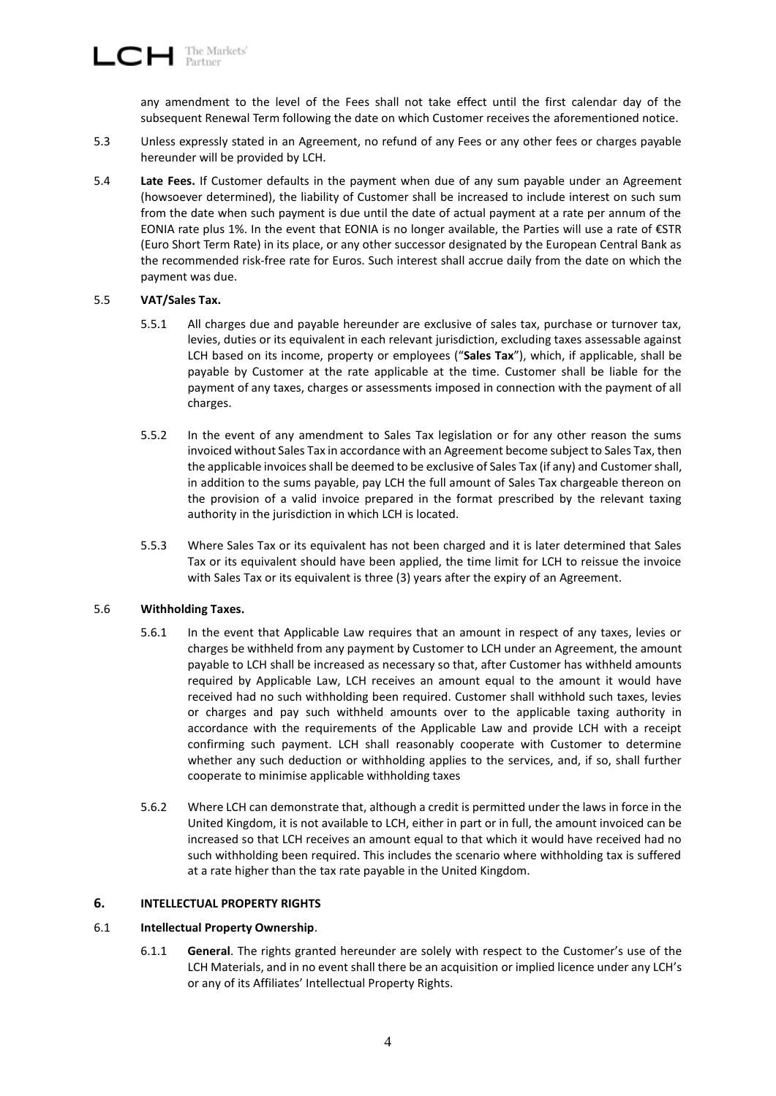any amendment to the level of the Fees shall not take effect until the first calendar day of the subsequent Renewal Term following the date on which Customer receives the aforementioned notice.

- 5.3 Unless expressly stated in an Agreement, no refund of any Fees or any other fees or charges payable hereunder will be provided by LCH.
- <span id="page-3-0"></span>5.4 **Late Fees.** If Customer defaults in the payment when due of any sum payable under an Agreement (howsoever determined), the liability of Customer shall be increased to include interest on such sum from the date when such payment is due until the date of actual payment at a rate per annum of the EONIA rate plus 1%. In the event that EONIA is no longer available, the Parties will use a rate of  $\epsilon$ STR (Euro Short Term Rate) in its place, or any other successor designated by the European Central Bank as the recommended risk-free rate for Euros. Such interest shall accrue daily from the date on which the payment was due.

## 5.5 **VAT/Sales Tax.**

- 5.5.1 All charges due and payable hereunder are exclusive of sales tax, purchase or turnover tax, levies, duties or its equivalent in each relevant jurisdiction, excluding taxes assessable against LCH based on its income, property or employees ("**Sales Tax**"), which, if applicable, shall be payable by Customer at the rate applicable at the time. Customer shall be liable for the payment of any taxes, charges or assessments imposed in connection with the payment of all charges.
- 5.5.2 In the event of any amendment to Sales Tax legislation or for any other reason the sums invoiced without Sales Tax in accordance with an Agreement become subject to Sales Tax, then the applicable invoices shall be deemed to be exclusive of Sales Tax (if any) and Customer shall, in addition to the sums payable, pay LCH the full amount of Sales Tax chargeable thereon on the provision of a valid invoice prepared in the format prescribed by the relevant taxing authority in the jurisdiction in which LCH is located.
- 5.5.3 Where Sales Tax or its equivalent has not been charged and it is later determined that Sales Tax or its equivalent should have been applied, the time limit for LCH to reissue the invoice with Sales Tax or its equivalent is three (3) years after the expiry of an Agreement.

#### 5.6 **Withholding Taxes.**

- 5.6.1 In the event that Applicable Law requires that an amount in respect of any taxes, levies or charges be withheld from any payment by Customer to LCH under an Agreement, the amount payable to LCH shall be increased as necessary so that, after Customer has withheld amounts required by Applicable Law, LCH receives an amount equal to the amount it would have received had no such withholding been required. Customer shall withhold such taxes, levies or charges and pay such withheld amounts over to the applicable taxing authority in accordance with the requirements of the Applicable Law and provide LCH with a receipt confirming such payment. LCH shall reasonably cooperate with Customer to determine whether any such deduction or withholding applies to the services, and, if so, shall further cooperate to minimise applicable withholding taxes
- 5.6.2 Where LCH can demonstrate that, although a credit is permitted under the laws in force in the United Kingdom, it is not available to LCH, either in part or in full, the amount invoiced can be increased so that LCH receives an amount equal to that which it would have received had no such withholding been required. This includes the scenario where withholding tax is suffered at a rate higher than the tax rate payable in the United Kingdom.

## <span id="page-3-1"></span>**6. INTELLECTUAL PROPERTY RIGHTS**

#### 6.1 **Intellectual Property Ownership**.

6.1.1 **General**. The rights granted hereunder are solely with respect to the Customer's use of the LCH Materials, and in no event shall there be an acquisition or implied licence under any LCH's or any of its Affiliates' Intellectual Property Rights.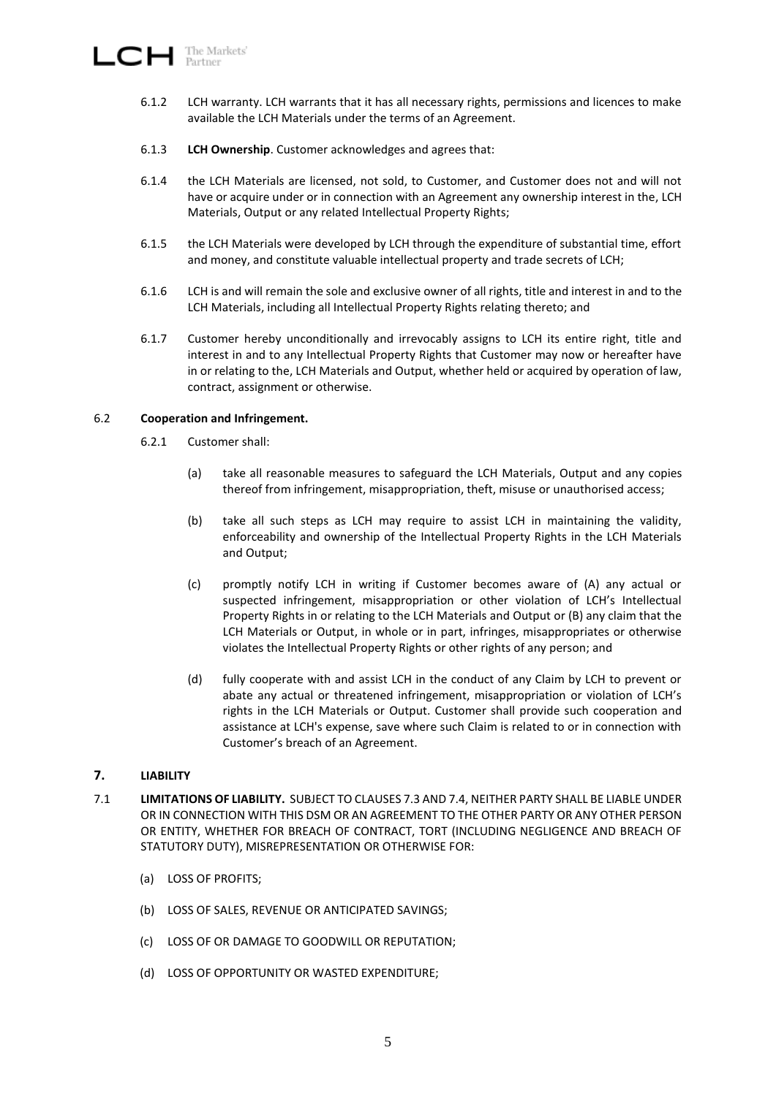- 6.1.2 LCH warranty. LCH warrants that it has all necessary rights, permissions and licences to make available the LCH Materials under the terms of an Agreement.
- 6.1.3 **LCH Ownership**. Customer acknowledges and agrees that:
- 6.1.4 the LCH Materials are licensed, not sold, to Customer, and Customer does not and will not have or acquire under or in connection with an Agreement any ownership interest in the, LCH Materials, Output or any related Intellectual Property Rights;
- 6.1.5 the LCH Materials were developed by LCH through the expenditure of substantial time, effort and money, and constitute valuable intellectual property and trade secrets of LCH;
- 6.1.6 LCH is and will remain the sole and exclusive owner of all rights, title and interest in and to the LCH Materials, including all Intellectual Property Rights relating thereto; and
- 6.1.7 Customer hereby unconditionally and irrevocably assigns to LCH its entire right, title and interest in and to any Intellectual Property Rights that Customer may now or hereafter have in or relating to the, LCH Materials and Output, whether held or acquired by operation of law, contract, assignment or otherwise.

## 6.2 **Cooperation and Infringement.**

- 6.2.1 Customer shall:
	- (a) take all reasonable measures to safeguard the LCH Materials, Output and any copies thereof from infringement, misappropriation, theft, misuse or unauthorised access;
	- (b) take all such steps as LCH may require to assist LCH in maintaining the validity, enforceability and ownership of the Intellectual Property Rights in the LCH Materials and Output;
	- (c) promptly notify LCH in writing if Customer becomes aware of (A) any actual or suspected infringement, misappropriation or other violation of LCH's Intellectual Property Rights in or relating to the LCH Materials and Output or (B) any claim that the LCH Materials or Output, in whole or in part, infringes, misappropriates or otherwise violates the Intellectual Property Rights or other rights of any person; and
	- (d) fully cooperate with and assist LCH in the conduct of any Claim by LCH to prevent or abate any actual or threatened infringement, misappropriation or violation of LCH's rights in the LCH Materials or Output. Customer shall provide such cooperation and assistance at LCH's expense, save where such Claim is related to or in connection with Customer's breach of an Agreement.

## <span id="page-4-0"></span>**7. LIABILITY**

- <span id="page-4-1"></span>7.1 **LIMITATIONS OF LIABILITY.** SUBJECT TO CLAUSES [7.3](#page-5-0) AND [7.4,](#page-5-1) NEITHER PARTY SHALL BE LIABLE UNDER OR IN CONNECTION WITH THIS DSM OR AN AGREEMENT TO THE OTHER PARTY OR ANY OTHER PERSON OR ENTITY, WHETHER FOR BREACH OF CONTRACT, TORT (INCLUDING NEGLIGENCE AND BREACH OF STATUTORY DUTY), MISREPRESENTATION OR OTHERWISE FOR:
	- (a) LOSS OF PROFITS;
	- (b) LOSS OF SALES, REVENUE OR ANTICIPATED SAVINGS;
	- (c) LOSS OF OR DAMAGE TO GOODWILL OR REPUTATION;
	- (d) LOSS OF OPPORTUNITY OR WASTED EXPENDITURE;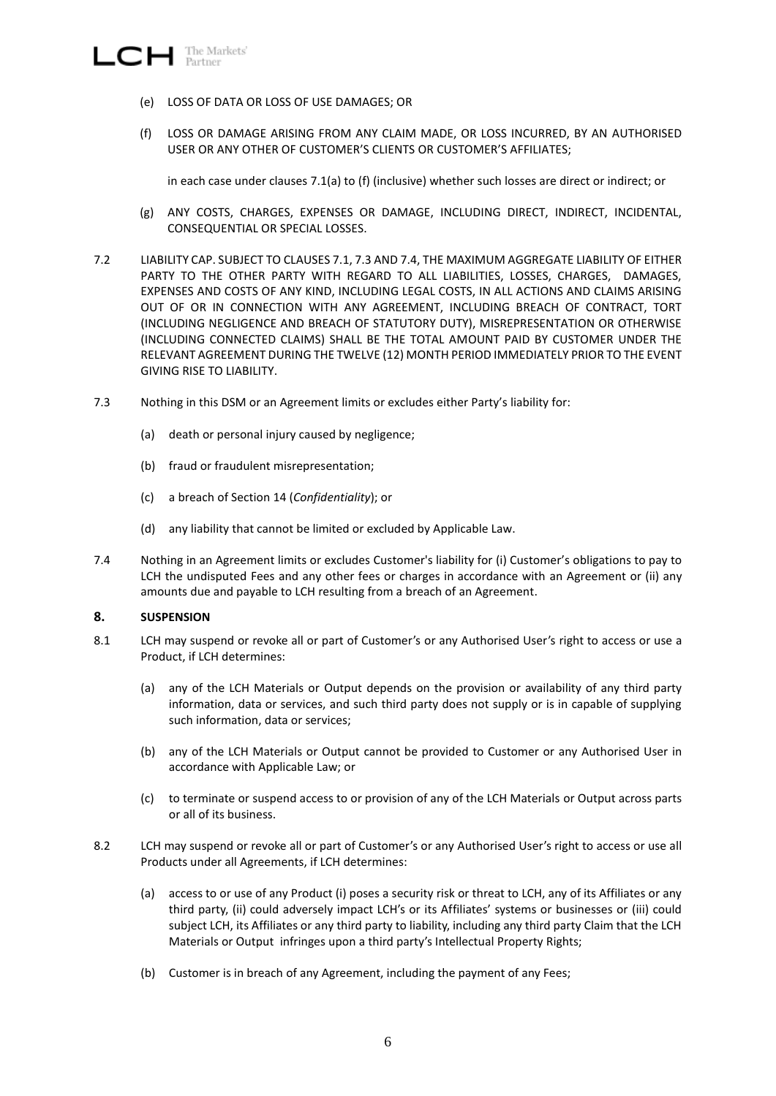- <span id="page-5-2"></span> $\Box$  The Markets'
	- (e) LOSS OF DATA OR LOSS OF USE DAMAGES; OR
	- (f) LOSS OR DAMAGE ARISING FROM ANY CLAIM MADE, OR LOSS INCURRED, BY AN AUTHORISED USER OR ANY OTHER OF CUSTOMER'S CLIENTS OR CUSTOMER'S AFFILIATES;

in each case under clauses [7.1\(a\)](#page-4-1) to [\(f\)](#page-5-2) (inclusive) whether such losses are direct or indirect; or

- (g) ANY COSTS, CHARGES, EXPENSES OR DAMAGE, INCLUDING DIRECT, INDIRECT, INCIDENTAL, CONSEQUENTIAL OR SPECIAL LOSSES.
- 7.2 LIABILITY CAP. SUBJECT TO CLAUSES 7.1, 7.3 AND 7.4, THE MAXIMUM AGGREGATE LIABILITY OF EITHER PARTY TO THE OTHER PARTY WITH REGARD TO ALL LIABILITIES, LOSSES, CHARGES, DAMAGES, EXPENSES AND COSTS OF ANY KIND, INCLUDING LEGAL COSTS, IN ALL ACTIONS AND CLAIMS ARISING OUT OF OR IN CONNECTION WITH ANY AGREEMENT, INCLUDING BREACH OF CONTRACT, TORT (INCLUDING NEGLIGENCE AND BREACH OF STATUTORY DUTY), MISREPRESENTATION OR OTHERWISE (INCLUDING CONNECTED CLAIMS) SHALL BE THE TOTAL AMOUNT PAID BY CUSTOMER UNDER THE RELEVANT AGREEMENT DURING THE TWELVE (12) MONTH PERIOD IMMEDIATELY PRIOR TO THE EVENT GIVING RISE TO LIABILITY.
- <span id="page-5-0"></span>7.3 Nothing in this DSM or an Agreement limits or excludes either Party's liability for:
	- (a) death or personal injury caused by negligence;
	- (b) fraud or fraudulent misrepresentation;
	- (c) a breach of Sectio[n 14](#page-7-0) (*Confidentiality*); or
	- (d) any liability that cannot be limited or excluded by Applicable Law.
- <span id="page-5-1"></span>7.4 Nothing in an Agreement limits or excludes Customer's liability for (i) Customer's obligations to pay to LCH the undisputed Fees and any other fees or charges in accordance with an Agreement or (ii) any amounts due and payable to LCH resulting from a breach of an Agreement.

## <span id="page-5-6"></span>**8. SUSPENSION**

- <span id="page-5-3"></span>8.1 LCH may suspend or revoke all or part of Customer's or any Authorised User's right to access or use a Product, if LCH determines:
	- (a) any of the LCH Materials or Output depends on the provision or availability of any third party information, data or services, and such third party does not supply or is in capable of supplying such information, data or services;
	- (b) any of the LCH Materials or Output cannot be provided to Customer or any Authorised User in accordance with Applicable Law; or
	- (c) to terminate or suspend access to or provision of any of the LCH Materials or Output across parts or all of its business.
- <span id="page-5-5"></span><span id="page-5-4"></span>8.2 LCH may suspend or revoke all or part of Customer's or any Authorised User's right to access or use all Products under all Agreements, if LCH determines:
	- (a) access to or use of any Product (i) poses a security risk or threat to LCH, any of its Affiliates or any third party, (ii) could adversely impact LCH's or its Affiliates' systems or businesses or (iii) could subject LCH, its Affiliates or any third party to liability, including any third party Claim that the LCH Materials or Output infringes upon a third party's Intellectual Property Rights;
	- (b) Customer is in breach of any Agreement, including the payment of any Fees;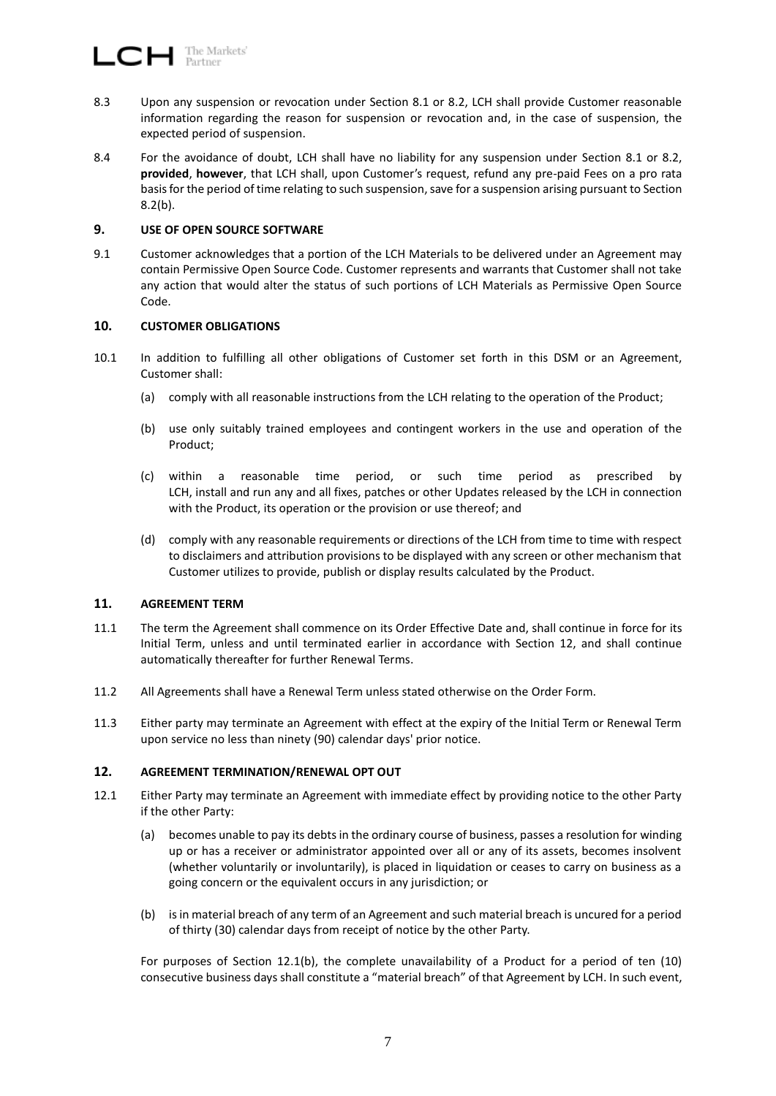- 8.3 Upon any suspension or revocation under Section [8.1](#page-5-3) or [8.2,](#page-5-4) LCH shall provide Customer reasonable information regarding the reason for suspension or revocation and, in the case of suspension, the expected period of suspension.
- 8.4 For the avoidance of doubt, LCH shall have no liability for any suspension under Section [8.1](#page-5-3) or [8.2,](#page-5-4) **provided**, **however**, that LCH shall, upon Customer's request, refund any pre-paid Fees on a pro rata basis for the period of time relating to such suspension, save for a suspension arising pursuant to Section [8.2\(b\).](#page-5-5)

## **9. USE OF OPEN SOURCE SOFTWARE**

9.1 Customer acknowledges that a portion of the LCH Materials to be delivered under an Agreement may contain Permissive Open Source Code. Customer represents and warrants that Customer shall not take any action that would alter the status of such portions of LCH Materials as Permissive Open Source Code.

#### <span id="page-6-2"></span>**10. CUSTOMER OBLIGATIONS**

- 10.1 In addition to fulfilling all other obligations of Customer set forth in this DSM or an Agreement, Customer shall:
	- (a) comply with all reasonable instructions from the LCH relating to the operation of the Product;
	- (b) use only suitably trained employees and contingent workers in the use and operation of the Product;
	- (c) within a reasonable time period, or such time period as prescribed by LCH, install and run any and all fixes, patches or other Updates released by the LCH in connection with the Product, its operation or the provision or use thereof; and
	- (d) comply with any reasonable requirements or directions of the LCH from time to time with respect to disclaimers and attribution provisions to be displayed with any screen or other mechanism that Customer utilizes to provide, publish or display results calculated by the Product.

## **11. AGREEMENT TERM**

- 11.1 The term the Agreement shall commence on its Order Effective Date and, shall continue in force for its Initial Term, unless and until terminated earlier in accordance with Section [12,](#page-6-0) and shall continue automatically thereafter for further Renewal Terms.
- 11.2 All Agreements shall have a Renewal Term unless stated otherwise on the Order Form.
- 11.3 Either party may terminate an Agreement with effect at the expiry of the Initial Term or Renewal Term upon service no less than ninety (90) calendar days' prior notice.

## <span id="page-6-0"></span>**12. AGREEMENT TERMINATION/RENEWAL OPT OUT**

- 12.1 Either Party may terminate an Agreement with immediate effect by providing notice to the other Party if the other Party:
	- (a) becomes unable to pay its debts in the ordinary course of business, passes a resolution for winding up or has a receiver or administrator appointed over all or any of its assets, becomes insolvent (whether voluntarily or involuntarily), is placed in liquidation or ceases to carry on business as a going concern or the equivalent occurs in any jurisdiction; or
	- (b) is in material breach of any term of an Agreement and such material breach is uncured for a period of thirty (30) calendar days from receipt of notice by the other Party.

<span id="page-6-1"></span>For purposes of Section [12.1\(b\),](#page-6-1) the complete unavailability of a Product for a period of ten (10) consecutive business days shall constitute a "material breach" of that Agreement by LCH. In such event,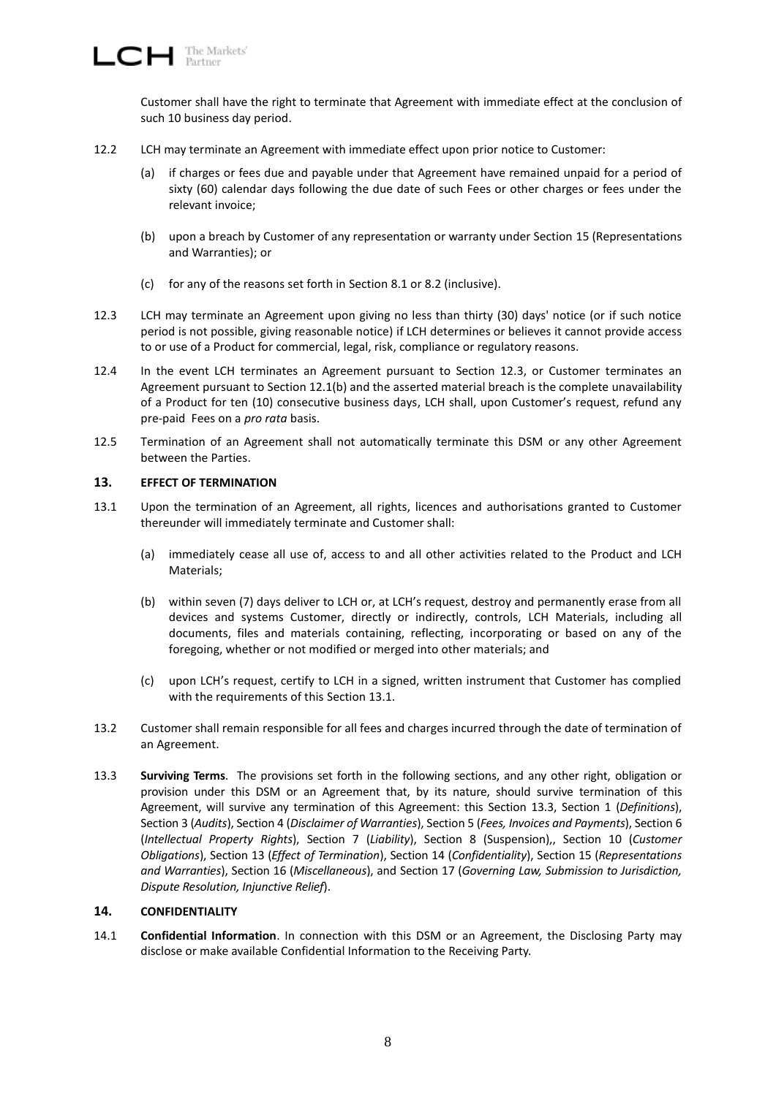Customer shall have the right to terminate that Agreement with immediate effect at the conclusion of such 10 business day period.

- 12.2 LCH may terminate an Agreement with immediate effect upon prior notice to Customer:
	- (a) if charges or fees due and payable under that Agreement have remained unpaid for a period of sixty (60) calendar days following the due date of such Fees or other charges or fees under the relevant invoice;
	- (b) upon a breach by Customer of any representation or warranty under Section [15](#page-9-0) (Representations and Warranties); or
	- (c) for any of the reasons set forth in Section [8.1](#page-5-3) or [8.2](#page-5-4) (inclusive).
- <span id="page-7-1"></span>12.3 LCH may terminate an Agreement upon giving no less than thirty (30) days' notice (or if such notice period is not possible, giving reasonable notice) if LCH determines or believes it cannot provide access to or use of a Product for commercial, legal, risk, compliance or regulatory reasons.
- 12.4 In the event LCH terminates an Agreement pursuant to Section [12.3,](#page-7-1) or Customer terminates an Agreement pursuant to Section [12.1\(b\)](#page-6-1) and the asserted material breach is the complete unavailability of a Product for ten (10) consecutive business days, LCH shall, upon Customer's request, refund any pre-paid Fees on a *pro rata* basis.
- 12.5 Termination of an Agreement shall not automatically terminate this DSM or any other Agreement between the Parties.

## <span id="page-7-4"></span>**13. EFFECT OF TERMINATION**

- <span id="page-7-2"></span>13.1 Upon the termination of an Agreement, all rights, licences and authorisations granted to Customer thereunder will immediately terminate and Customer shall:
	- (a) immediately cease all use of, access to and all other activities related to the Product and LCH Materials;
	- (b) within seven (7) days deliver to LCH or, at LCH's request, destroy and permanently erase from all devices and systems Customer, directly or indirectly, controls, LCH Materials, including all documents, files and materials containing, reflecting, incorporating or based on any of the foregoing, whether or not modified or merged into other materials; and
	- (c) upon LCH's request, certify to LCH in a signed, written instrument that Customer has complied with the requirements of this Section [13.1.](#page-7-2)
- 13.2 Customer shall remain responsible for all fees and charges incurred through the date of termination of an Agreement.
- <span id="page-7-3"></span>13.3 **Surviving Terms**. The provisions set forth in the following sections, and any other right, obligation or provision under this DSM or an Agreement that, by its nature, should survive termination of this Agreement, will survive any termination of this Agreement: this Section [13.3,](#page-7-3) Section [1](#page-0-2) (*Definitions*), Section [3](#page-2-1) (*Audits*), Section [4](#page-2-0) (*Disclaimer of Warranties*), Section [5](#page-2-3) (*Fees, Invoices and Payments*), Section [6](#page-3-1) (*Intellectual Property Rights*), Section [7](#page-4-0) (*Liability*), Section [8](#page-5-6) (Suspension),, Section [10](#page-6-2) (*Customer Obligations*), Section [13](#page-7-4) (*Effect of Termination*), Section [14](#page-7-0) (*Confidentiality*), Section [15](#page-9-0) (*Representations and Warranties*), Section [16](#page-9-1) (*Miscellaneous*), and Section [17](#page-11-0) (*Governing Law, Submission to Jurisdiction, Dispute Resolution, Injunctive Relief*).

## <span id="page-7-0"></span>**14. CONFIDENTIALITY**

14.1 **Confidential Information**. In connection with this DSM or an Agreement, the Disclosing Party may disclose or make available Confidential Information to the Receiving Party.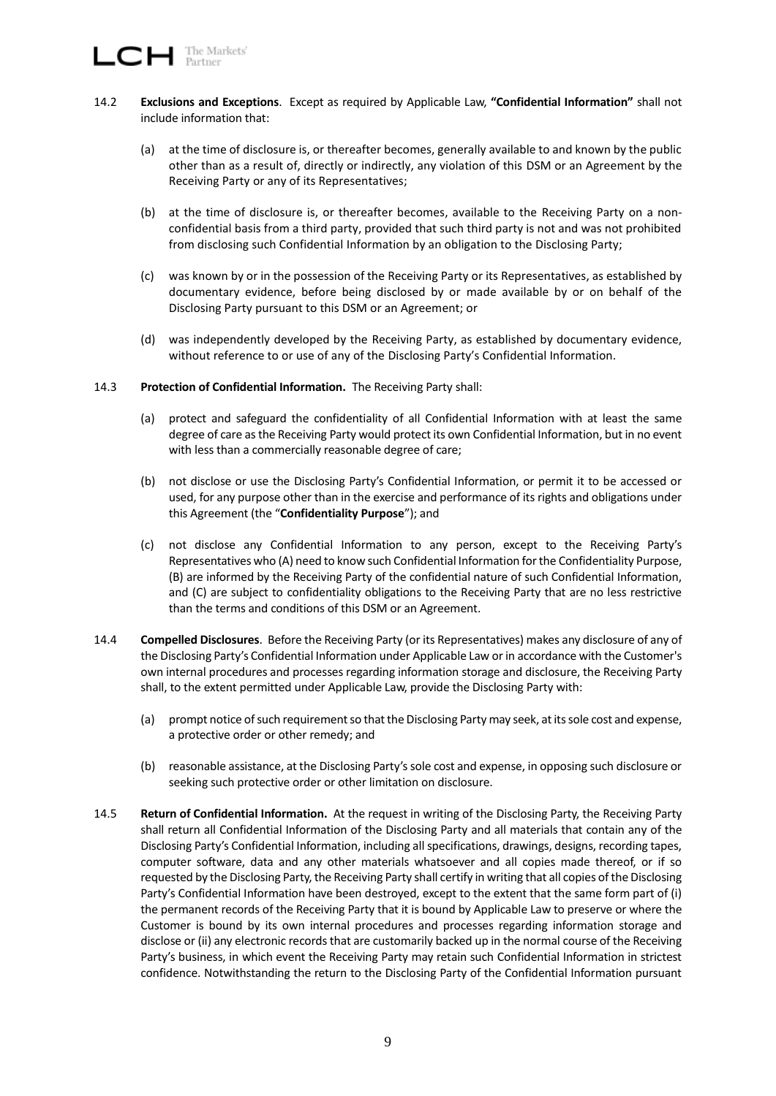- 14.2 **Exclusions and Exceptions**. Except as required by Applicable Law, **"Confidential Information"** shall not include information that:
	- (a) at the time of disclosure is, or thereafter becomes, generally available to and known by the public other than as a result of, directly or indirectly, any violation of this DSM or an Agreement by the Receiving Party or any of its Representatives;
	- (b) at the time of disclosure is, or thereafter becomes, available to the Receiving Party on a nonconfidential basis from a third party, provided that such third party is not and was not prohibited from disclosing such Confidential Information by an obligation to the Disclosing Party;
	- (c) was known by or in the possession of the Receiving Party or its Representatives, as established by documentary evidence, before being disclosed by or made available by or on behalf of the Disclosing Party pursuant to this DSM or an Agreement; or
	- (d) was independently developed by the Receiving Party, as established by documentary evidence, without reference to or use of any of the Disclosing Party's Confidential Information.
- 14.3 **Protection of Confidential Information.** The Receiving Party shall:
	- (a) protect and safeguard the confidentiality of all Confidential Information with at least the same degree of care as the Receiving Party would protect its own Confidential Information, but in no event with less than a commercially reasonable degree of care;
	- (b) not disclose or use the Disclosing Party's Confidential Information, or permit it to be accessed or used, for any purpose other than in the exercise and performance of its rights and obligations under this Agreement (the "**Confidentiality Purpose**"); and
	- (c) not disclose any Confidential Information to any person, except to the Receiving Party's Representatives who (A) need to know such Confidential Information for the Confidentiality Purpose, (B) are informed by the Receiving Party of the confidential nature of such Confidential Information, and (C) are subject to confidentiality obligations to the Receiving Party that are no less restrictive than the terms and conditions of this DSM or an Agreement.
- 14.4 **Compelled Disclosures**. Before the Receiving Party (or its Representatives) makes any disclosure of any of the Disclosing Party's Confidential Information under Applicable Law or in accordance with the Customer's own internal procedures and processes regarding information storage and disclosure, the Receiving Party shall, to the extent permitted under Applicable Law, provide the Disclosing Party with:
	- (a) prompt notice of such requirement so that the Disclosing Party may seek, at its sole cost and expense, a protective order or other remedy; and
	- (b) reasonable assistance, at the Disclosing Party's sole cost and expense, in opposing such disclosure or seeking such protective order or other limitation on disclosure.
- 14.5 **Return of Confidential Information.** At the request in writing of the Disclosing Party, the Receiving Party shall return all Confidential Information of the Disclosing Party and all materials that contain any of the Disclosing Party's Confidential Information, including all specifications, drawings, designs, recording tapes, computer software, data and any other materials whatsoever and all copies made thereof, or if so requested by the Disclosing Party, the Receiving Party shall certify in writing that all copies of the Disclosing Party's Confidential Information have been destroyed, except to the extent that the same form part of (i) the permanent records of the Receiving Party that it is bound by Applicable Law to preserve or where the Customer is bound by its own internal procedures and processes regarding information storage and disclose or (ii) any electronic records that are customarily backed up in the normal course of the Receiving Party's business, in which event the Receiving Party may retain such Confidential Information in strictest confidence. Notwithstanding the return to the Disclosing Party of the Confidential Information pursuant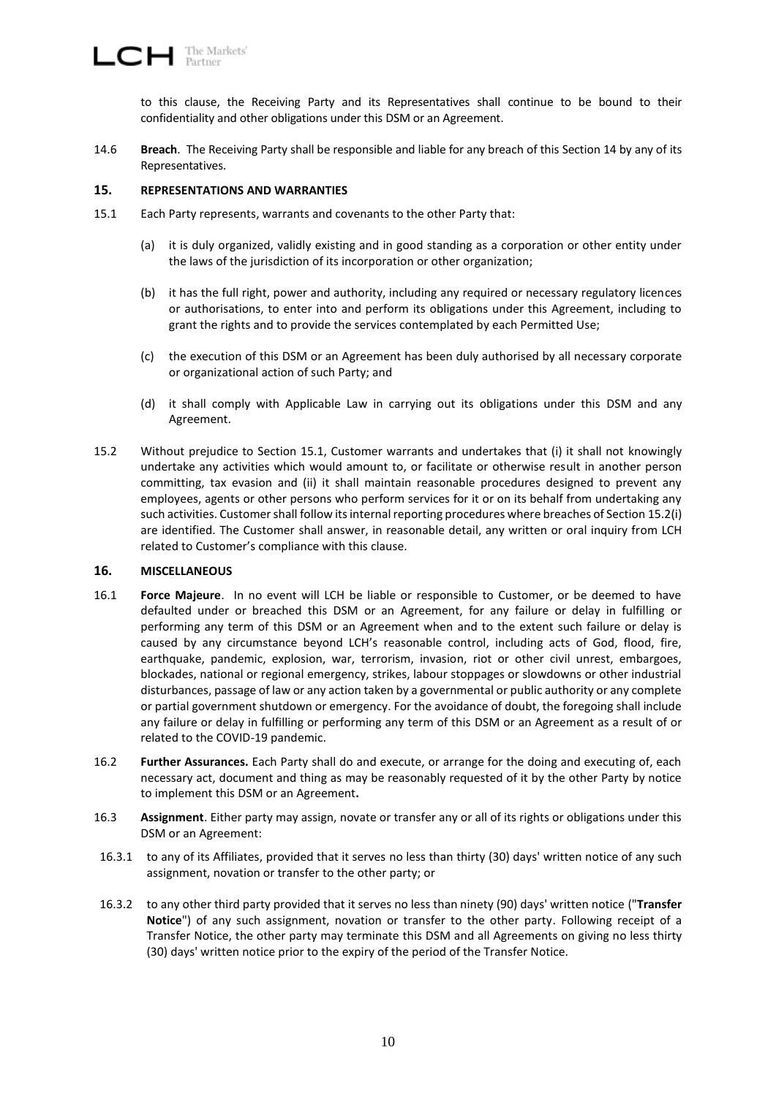to this clause, the Receiving Party and its Representatives shall continue to be bound to their confidentiality and other obligations under this DSM or an Agreement.

14.6 **Breach**. The Receiving Party shall be responsible and liable for any breach of this Section [14](#page-7-0) by any of its Representatives.

## <span id="page-9-0"></span>**15. REPRESENTATIONS AND WARRANTIES**

- <span id="page-9-2"></span>15.1 Each Party represents, warrants and covenants to the other Party that:
	- (a) it is duly organized, validly existing and in good standing as a corporation or other entity under the laws of the jurisdiction of its incorporation or other organization;
	- (b) it has the full right, power and authority, including any required or necessary regulatory licences or authorisations, to enter into and perform its obligations under this Agreement, including to grant the rights and to provide the services contemplated by each Permitted Use;
	- (c) the execution of this DSM or an Agreement has been duly authorised by all necessary corporate or organizational action of such Party; and
	- (d) it shall comply with Applicable Law in carrying out its obligations under this DSM and any Agreement.
- <span id="page-9-3"></span>15.2 Without prejudice to Section [15.1,](#page-9-2) Customer warrants and undertakes that (i) it shall not knowingly undertake any activities which would amount to, or facilitate or otherwise result in another person committing, tax evasion and (ii) it shall maintain reasonable procedures designed to prevent any employees, agents or other persons who perform services for it or on its behalf from undertaking any such activities. Customer shall follow its internal reporting procedures where breaches of Sectio[n 15.2\(](#page-9-3)i) are identified. The Customer shall answer, in reasonable detail, any written or oral inquiry from LCH related to Customer's compliance with this clause.

## <span id="page-9-1"></span>**16. MISCELLANEOUS**

- 16.1 **Force Majeure**. In no event will LCH be liable or responsible to Customer, or be deemed to have defaulted under or breached this DSM or an Agreement, for any failure or delay in fulfilling or performing any term of this DSM or an Agreement when and to the extent such failure or delay is caused by any circumstance beyond LCH's reasonable control, including acts of God, flood, fire, earthquake, pandemic, explosion, war, terrorism, invasion, riot or other civil unrest, embargoes, blockades, national or regional emergency, strikes, labour stoppages or slowdowns or other industrial disturbances, passage of law or any action taken by a governmental or public authority or any complete or partial government shutdown or emergency. For the avoidance of doubt, the foregoing shall include any failure or delay in fulfilling or performing any term of this DSM or an Agreement as a result of or related to the COVID-19 pandemic.
- 16.2 **Further Assurances.** Each Party shall do and execute, or arrange for the doing and executing of, each necessary act, document and thing as may be reasonably requested of it by the other Party by notice to implement this DSM or an Agreement**.**
- 16.3 **Assignment**. Either party may assign, novate or transfer any or all of its rights or obligations under this DSM or an Agreement:
- 16.3.1 to any of its Affiliates, provided that it serves no less than thirty (30) days' written notice of any such assignment, novation or transfer to the other party; or
- 16.3.2 to any other third party provided that it serves no less than ninety (90) days' written notice ("**Transfer Notice**") of any such assignment, novation or transfer to the other party. Following receipt of a Transfer Notice, the other party may terminate this DSM and all Agreements on giving no less thirty (30) days' written notice prior to the expiry of the period of the Transfer Notice.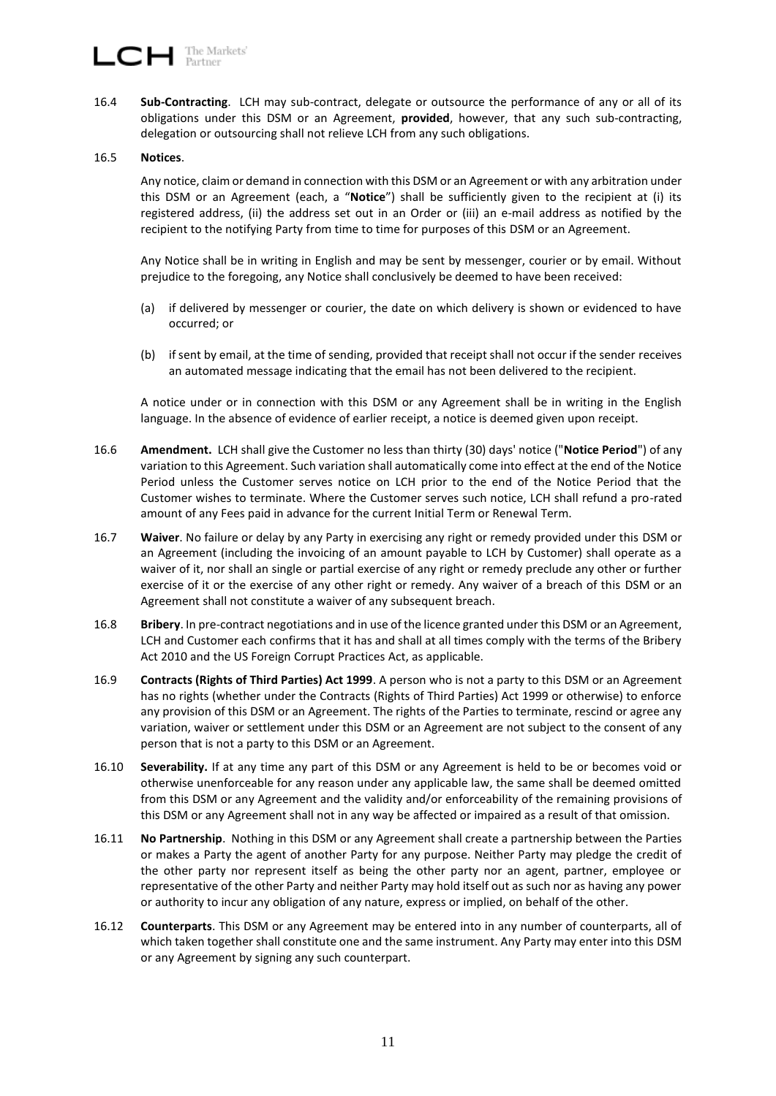16.4 **Sub-Contracting**. LCH may sub-contract, delegate or outsource the performance of any or all of its obligations under this DSM or an Agreement, **provided**, however, that any such sub-contracting, delegation or outsourcing shall not relieve LCH from any such obligations.

#### 16.5 **Notices**.

Any notice, claim or demand in connection with this DSM or an Agreement or with any arbitration under this DSM or an Agreement (each, a "**Notice**") shall be sufficiently given to the recipient at (i) its registered address, (ii) the address set out in an Order or (iii) an e-mail address as notified by the recipient to the notifying Party from time to time for purposes of this DSM or an Agreement.

Any Notice shall be in writing in English and may be sent by messenger, courier or by email. Without prejudice to the foregoing, any Notice shall conclusively be deemed to have been received:

- (a) if delivered by messenger or courier, the date on which delivery is shown or evidenced to have occurred; or
- (b) if sent by email, at the time of sending, provided that receipt shall not occur if the sender receives an automated message indicating that the email has not been delivered to the recipient.

A notice under or in connection with this DSM or any Agreement shall be in writing in the English language. In the absence of evidence of earlier receipt, a notice is deemed given upon receipt.

- 16.6 **Amendment.** LCH shall give the Customer no less than thirty (30) days' notice ("**Notice Period**") of any variation to this Agreement. Such variation shall automatically come into effect at the end of the Notice Period unless the Customer serves notice on LCH prior to the end of the Notice Period that the Customer wishes to terminate. Where the Customer serves such notice, LCH shall refund a pro-rated amount of any Fees paid in advance for the current Initial Term or Renewal Term.
- 16.7 **Waiver**. No failure or delay by any Party in exercising any right or remedy provided under this DSM or an Agreement (including the invoicing of an amount payable to LCH by Customer) shall operate as a waiver of it, nor shall an single or partial exercise of any right or remedy preclude any other or further exercise of it or the exercise of any other right or remedy. Any waiver of a breach of this DSM or an Agreement shall not constitute a waiver of any subsequent breach.
- 16.8 **Bribery**. In pre-contract negotiations and in use of the licence granted under this DSM or an Agreement, LCH and Customer each confirms that it has and shall at all times comply with the terms of the Bribery Act 2010 and the US Foreign Corrupt Practices Act, as applicable.
- 16.9 **Contracts (Rights of Third Parties) Act 1999**. A person who is not a party to this DSM or an Agreement has no rights (whether under the Contracts (Rights of Third Parties) Act 1999 or otherwise) to enforce any provision of this DSM or an Agreement. The rights of the Parties to terminate, rescind or agree any variation, waiver or settlement under this DSM or an Agreement are not subject to the consent of any person that is not a party to this DSM or an Agreement.
- 16.10 **Severability.** If at any time any part of this DSM or any Agreement is held to be or becomes void or otherwise unenforceable for any reason under any applicable law, the same shall be deemed omitted from this DSM or any Agreement and the validity and/or enforceability of the remaining provisions of this DSM or any Agreement shall not in any way be affected or impaired as a result of that omission.
- 16.11 **No Partnership**. Nothing in this DSM or any Agreement shall create a partnership between the Parties or makes a Party the agent of another Party for any purpose. Neither Party may pledge the credit of the other party nor represent itself as being the other party nor an agent, partner, employee or representative of the other Party and neither Party may hold itself out as such nor as having any power or authority to incur any obligation of any nature, express or implied, on behalf of the other.
- 16.12 **Counterparts**. This DSM or any Agreement may be entered into in any number of counterparts, all of which taken together shall constitute one and the same instrument. Any Party may enter into this DSM or any Agreement by signing any such counterpart.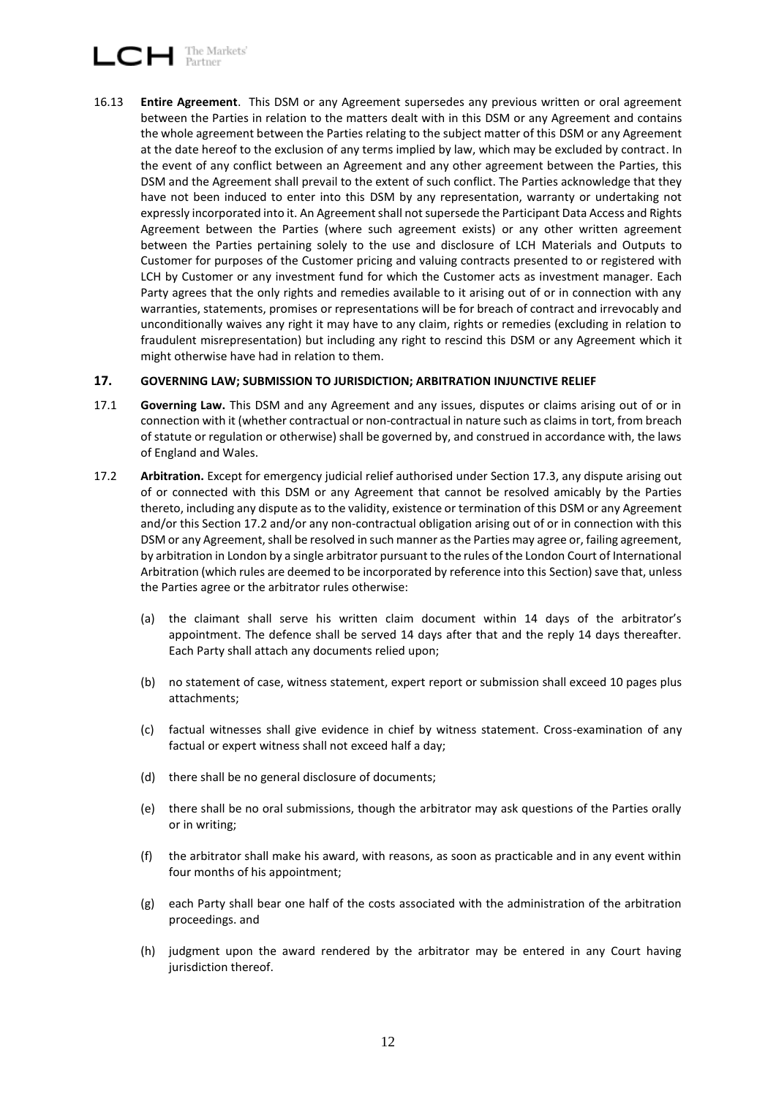# $\Box$  The Markets'

16.13 **Entire Agreement**. This DSM or any Agreement supersedes any previous written or oral agreement between the Parties in relation to the matters dealt with in this DSM or any Agreement and contains the whole agreement between the Parties relating to the subject matter of this DSM or any Agreement at the date hereof to the exclusion of any terms implied by law, which may be excluded by contract. In the event of any conflict between an Agreement and any other agreement between the Parties, this DSM and the Agreement shall prevail to the extent of such conflict. The Parties acknowledge that they have not been induced to enter into this DSM by any representation, warranty or undertaking not expressly incorporated into it. An Agreement shall not supersede the Participant Data Access and Rights Agreement between the Parties (where such agreement exists) or any other written agreement between the Parties pertaining solely to the use and disclosure of LCH Materials and Outputs to Customer for purposes of the Customer pricing and valuing contracts presented to or registered with LCH by Customer or any investment fund for which the Customer acts as investment manager. Each Party agrees that the only rights and remedies available to it arising out of or in connection with any warranties, statements, promises or representations will be for breach of contract and irrevocably and unconditionally waives any right it may have to any claim, rights or remedies (excluding in relation to fraudulent misrepresentation) but including any right to rescind this DSM or any Agreement which it might otherwise have had in relation to them.

## <span id="page-11-0"></span>**17. GOVERNING LAW; SUBMISSION TO JURISDICTION; ARBITRATION INJUNCTIVE RELIEF**

- 17.1 **Governing Law.** This DSM and any Agreement and any issues, disputes or claims arising out of or in connection with it (whether contractual or non-contractual in nature such as claims in tort, from breach of statute or regulation or otherwise) shall be governed by, and construed in accordance with, the laws of England and Wales.
- <span id="page-11-1"></span>17.2 **Arbitration.** Except for emergency judicial relief authorised under Section [17.3,](#page-12-0) any dispute arising out of or connected with this DSM or any Agreement that cannot be resolved amicably by the Parties thereto, including any dispute as to the validity, existence or termination of this DSM or any Agreement and/or this Section [17.2](#page-11-1) and/or any non-contractual obligation arising out of or in connection with this DSM or any Agreement, shall be resolved in such manner as the Parties may agree or, failing agreement, by arbitration in London by a single arbitrator pursuant to the rules of the London Court of International Arbitration (which rules are deemed to be incorporated by reference into this Section) save that, unless the Parties agree or the arbitrator rules otherwise:
	- (a) the claimant shall serve his written claim document within 14 days of the arbitrator's appointment. The defence shall be served 14 days after that and the reply 14 days thereafter. Each Party shall attach any documents relied upon;
	- (b) no statement of case, witness statement, expert report or submission shall exceed 10 pages plus attachments;
	- (c) factual witnesses shall give evidence in chief by witness statement. Cross-examination of any factual or expert witness shall not exceed half a day;
	- (d) there shall be no general disclosure of documents;
	- (e) there shall be no oral submissions, though the arbitrator may ask questions of the Parties orally or in writing;
	- (f) the arbitrator shall make his award, with reasons, as soon as practicable and in any event within four months of his appointment;
	- (g) each Party shall bear one half of the costs associated with the administration of the arbitration proceedings. and
	- (h) judgment upon the award rendered by the arbitrator may be entered in any Court having jurisdiction thereof.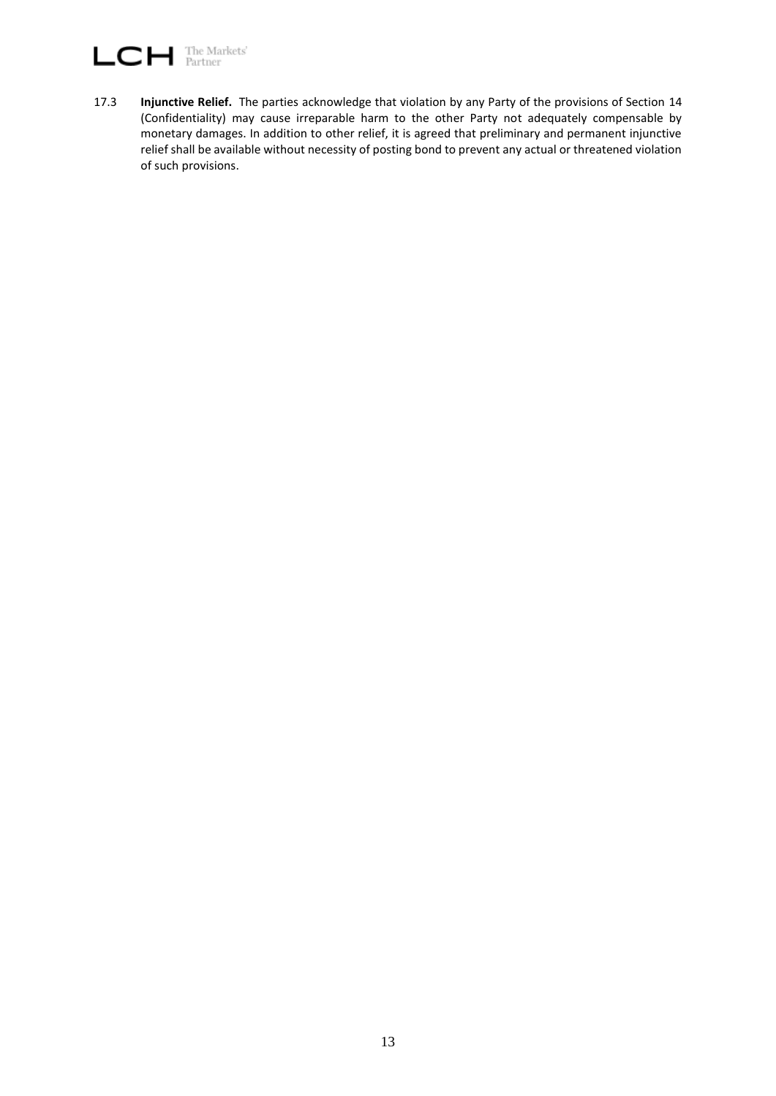# The Markets'<br>Partner LCH

<span id="page-12-0"></span>17.3 **Injunctive Relief.** The parties acknowledge that violation by any Party of the provisions of Section [14](#page-7-0) (Confidentiality) may cause irreparable harm to the other Party not adequately compensable by monetary damages. In addition to other relief, it is agreed that preliminary and permanent injunctive relief shall be available without necessity of posting bond to prevent any actual or threatened violation of such provisions.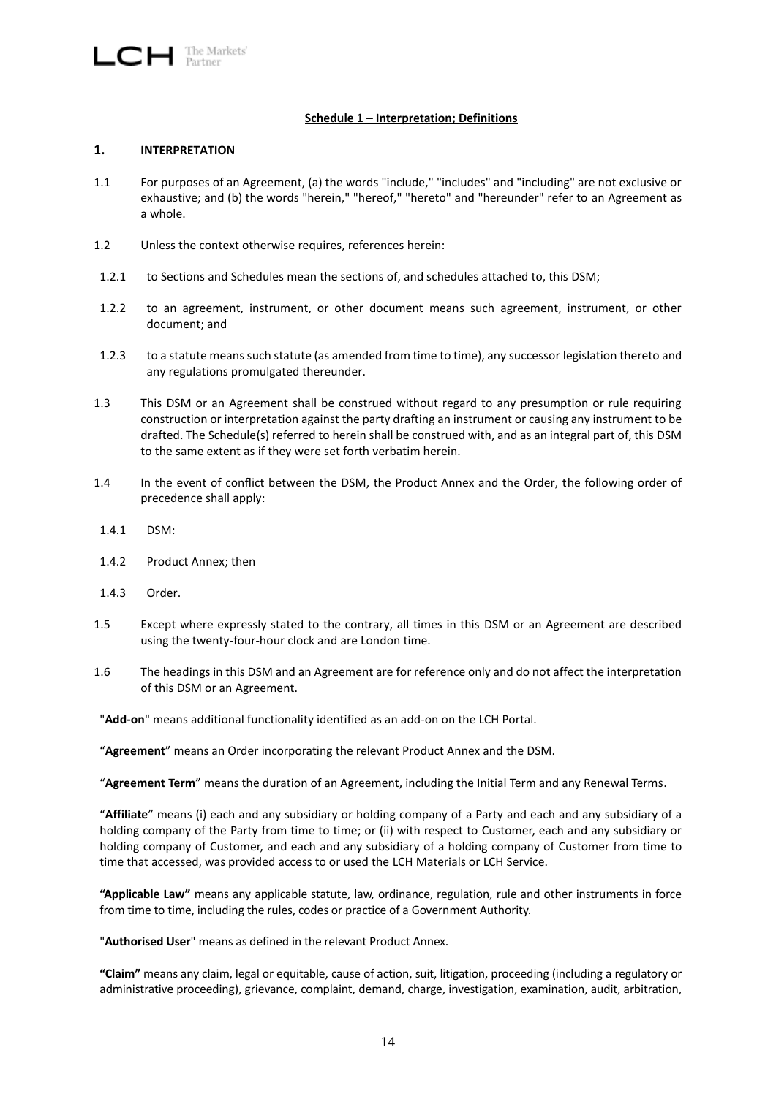## **Schedule 1 – Interpretation; Definitions**

#### **1. INTERPRETATION**

- 1.1 For purposes of an Agreement, (a) the words "include," "includes" and "including" are not exclusive or exhaustive; and (b) the words "herein," "hereof," "hereto" and "hereunder" refer to an Agreement as a whole.
- 1.2 Unless the context otherwise requires, references herein:
- 1.2.1 to Sections and Schedules mean the sections of, and schedules attached to, this DSM;
- 1.2.2 to an agreement, instrument, or other document means such agreement, instrument, or other document; and
- 1.2.3 to a statute means such statute (as amended from time to time), any successor legislation thereto and any regulations promulgated thereunder.
- 1.3 This DSM or an Agreement shall be construed without regard to any presumption or rule requiring construction or interpretation against the party drafting an instrument or causing any instrument to be drafted. The Schedule(s) referred to herein shall be construed with, and as an integral part of, this DSM to the same extent as if they were set forth verbatim herein.
- 1.4 In the event of conflict between the DSM, the Product Annex and the Order, the following order of precedence shall apply:
- 1.4.1 DSM:
- 1.4.2 Product Annex; then
- 1.4.3 Order.
- 1.5 Except where expressly stated to the contrary, all times in this DSM or an Agreement are described using the twenty-four-hour clock and are London time.
- 1.6 The headings in this DSM and an Agreement are for reference only and do not affect the interpretation of this DSM or an Agreement.

"**Add-on**" means additional functionality identified as an add-on on the LCH Portal.

"**Agreement**" means an Order incorporating the relevant Product Annex and the DSM.

"**Agreement Term**" means the duration of an Agreement, including the Initial Term and any Renewal Terms.

"**Affiliate**" means (i) each and any subsidiary or holding company of a Party and each and any subsidiary of a holding company of the Party from time to time; or (ii) with respect to Customer, each and any subsidiary or holding company of Customer, and each and any subsidiary of a holding company of Customer from time to time that accessed, was provided access to or used the LCH Materials or LCH Service.

**"Applicable Law"** means any applicable statute, law, ordinance, regulation, rule and other instruments in force from time to time, including the rules, codes or practice of a Government Authority.

"**Authorised User**" means as defined in the relevant Product Annex.

**"Claim"** means any claim, legal or equitable, cause of action, suit, litigation, proceeding (including a regulatory or administrative proceeding), grievance, complaint, demand, charge, investigation, examination, audit, arbitration,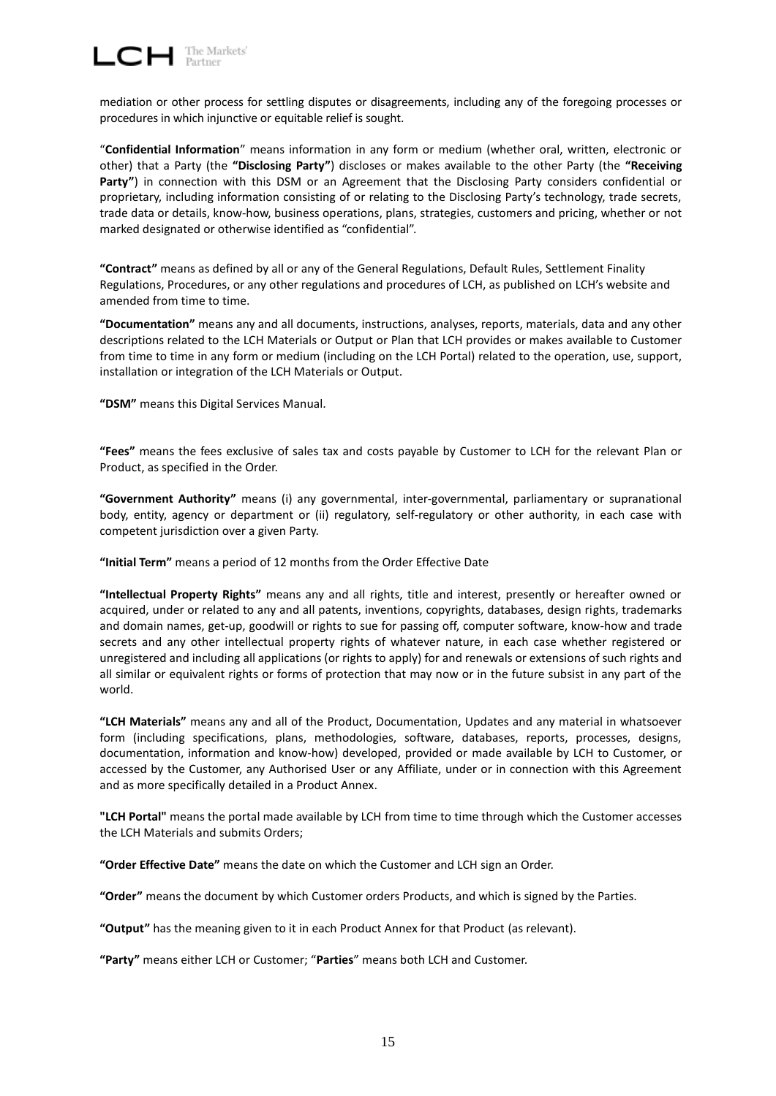$\Box$  The Markets'

mediation or other process for settling disputes or disagreements, including any of the foregoing processes or procedures in which injunctive or equitable relief is sought.

"**Confidential Information**" means information in any form or medium (whether oral, written, electronic or other) that a Party (the **"Disclosing Party"**) discloses or makes available to the other Party (the **"Receiving Party"**) in connection with this DSM or an Agreement that the Disclosing Party considers confidential or proprietary, including information consisting of or relating to the Disclosing Party's technology, trade secrets, trade data or details, know-how, business operations, plans, strategies, customers and pricing, whether or not marked designated or otherwise identified as "confidential".

**"Contract"** means as defined by all or any of the General Regulations, Default Rules, Settlement Finality Regulations, Procedures, or any other regulations and procedures of LCH, as published on LCH's website and amended from time to time.

**"Documentation"** means any and all documents, instructions, analyses, reports, materials, data and any other descriptions related to the LCH Materials or Output or Plan that LCH provides or makes available to Customer from time to time in any form or medium (including on the LCH Portal) related to the operation, use, support, installation or integration of the LCH Materials or Output.

**"DSM"** means this Digital Services Manual.

**"Fees"** means the fees exclusive of sales tax and costs payable by Customer to LCH for the relevant Plan or Product, as specified in the Order.

**"Government Authority"** means (i) any governmental, inter-governmental, parliamentary or supranational body, entity, agency or department or (ii) regulatory, self-regulatory or other authority, in each case with competent jurisdiction over a given Party.

**"Initial Term"** means a period of 12 months from the Order Effective Date

**"Intellectual Property Rights"** means any and all rights, title and interest, presently or hereafter owned or acquired, under or related to any and all patents, inventions, copyrights, databases, design rights, trademarks and domain names, get-up, goodwill or rights to sue for passing off, computer software, know-how and trade secrets and any other intellectual property rights of whatever nature, in each case whether registered or unregistered and including all applications (or rights to apply) for and renewals or extensions of such rights and all similar or equivalent rights or forms of protection that may now or in the future subsist in any part of the world.

**"LCH Materials"** means any and all of the Product, Documentation, Updates and any material in whatsoever form (including specifications, plans, methodologies, software, databases, reports, processes, designs, documentation, information and know-how) developed, provided or made available by LCH to Customer, or accessed by the Customer, any Authorised User or any Affiliate, under or in connection with this Agreement and as more specifically detailed in a Product Annex.

**"LCH Portal"** means the portal made available by LCH from time to time through which the Customer accesses the LCH Materials and submits Orders;

**"Order Effective Date"** means the date on which the Customer and LCH sign an Order.

**"Order"** means the document by which Customer orders Products, and which is signed by the Parties.

**"Output"** has the meaning given to it in each Product Annex for that Product (as relevant).

**"Party"** means either LCH or Customer; "**Parties**" means both LCH and Customer.